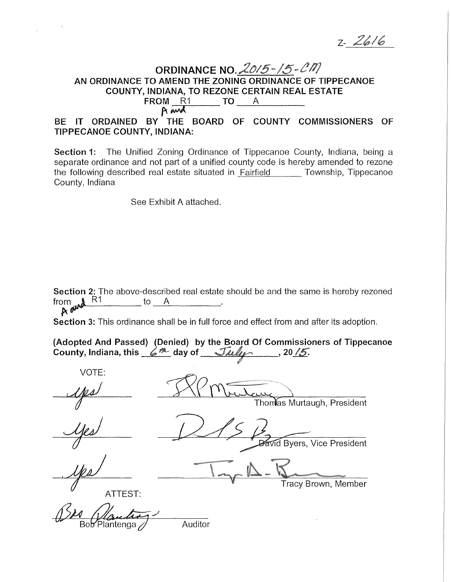$2 - 2616$ 

# ORDINANCE N0 . *.2015-/5-* AN ORDINANCE TO AMEND THE ZONING ORDINANCE OF TIPPECANOE<br>
COUNTY, INDIANA, TO REZONE CERTAIN REAL ESTATE<br>
FROM R1 TO A<br>  $A$ <br>
FROM R1 TO A COUNTY, INDIANA, TO REZONE CERTAIN REAL ESTATE<br>FROM R1 TO A

BE IT ORDAINED BY THE BOARD OF COUNTY COMMISSIONERS OF TIPPECANOE COUNTY, INDIANA:

Section 1: The Unified Zoning Ordinance of Tippecanoe County, Indiana, being a separate ordinance and not part of a unified county code is hereby amended to rezone the following described real estate situated in Fairfield Township, Tippecanoe County, Indiana

See Exhibit A attached.

Section 2: The above-described real estate should be and the same is hereby rezoned from  $\mathbb{R}^4$ from  $x^{\text{max}}$ 

Section 3: This ordinance shall be in full force and effect from and after its adoption.

| (Adopted And Passed) (Denied) by the Board Of Commissioners of Tippecanoe        |  |  |
|----------------------------------------------------------------------------------|--|--|
| County, Indiana, this $6^{\frac{m}{2}}$ day of $\sqrt{n}l$ , $\sqrt{n}l$ , 20/5. |  |  |

VOTE: IV. Montan Thomas Murtaugh, President  $\widetilde{\mathsf{V}}$ Id Byers, Vice President Tracy Brown, Member ATTEST: Auditor Bob Plantenga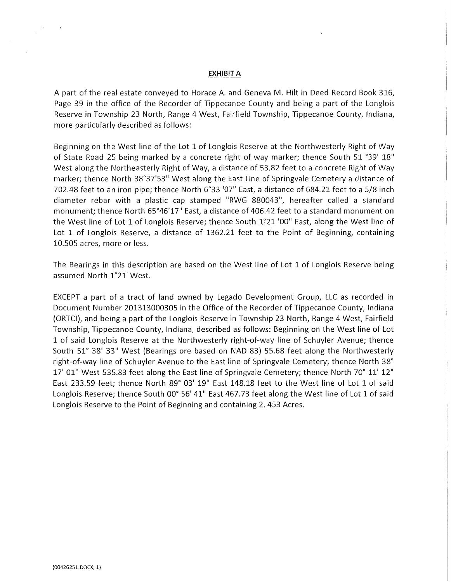#### EXHIBIT A

A part of the real estate conveyed to Horace A. and Geneva M. Hilt in Deed Record Book 316, Page 39 in the office of the Recorder of Tippecanoe County and being a part of the Longlois Reserve in Township 23 North, Range 4 West, Fairfield Township, Tippecanoe County, Indiana, more particularly described as follows:

Beginning on the West line of the Lot 1 of Longlois Reserve at the Northwesterly Right of Way of State Road 25 being marked by a concrete right of way marker; thence South 51 °39' 18" West along the Northeasterly Right of Way, a distance of 53.82 feet to a concrete Right of Way marker; thence North 38°37'53" West along the East Line of Springvale Cemetery a distance of 702.48 feet to an iron pipe; thence North 6°33 '07" East, a distance of 684.21 feet to a 5/8 inch diameter rebar with a plastic cap stamped "RWG 880043", hereafter called a standard monument; thence North 65°46'17" East, a distance of 406.42 feet to a standard monument on the West line of Lot 1 of Langlois Reserve; thence South 1°21 '00" East, along the West line of Lot 1 of Longlois Reserve, a distance of 1362.21 feet to the Point of Beginning, containing 10.505 acres, more or less.

The Bearings in this description are based on the West line of Lot 1 of Longlois Reserve being assumed North 1°21' West.

EXCEPT a part of a tract of land owned by Legado Development Group, LLC as recorded in Document Number 201313000305 in the Office of the Recorder of Tippecanoe County, Indiana (ORTCI), and being a part of the Longlois Reserve in Township 23 North, Range 4 West, Fairfield Township, Tippecanoe County, Indiana, described as follows: Beginning on the West line of Lot 1 of said Langlois Reserve at the Northwesterly right-of-way line of Schuyler Avenue; thence South 51° 38' 33" West (Bearings ore based on NAD 83) 55.68 feet along the Northwesterly right-of-way line of Schuyler Avenue to the East line of Springvale Cemetery; thence North 38° 17' 01" West 535.83 feet along the East line of Springvale Cemetery; thence North 70° 11' 12" East 233.59 feet; thence North 89° 03' 19" East 148.18 feet to the West line of Lot 1 of said Longlois Reserve; thence South 00° 56' 41" East 467.73 feet along the West line of Lot 1 of said Longlois Reserve to the Point of Beginning and containing 2.453 Acres.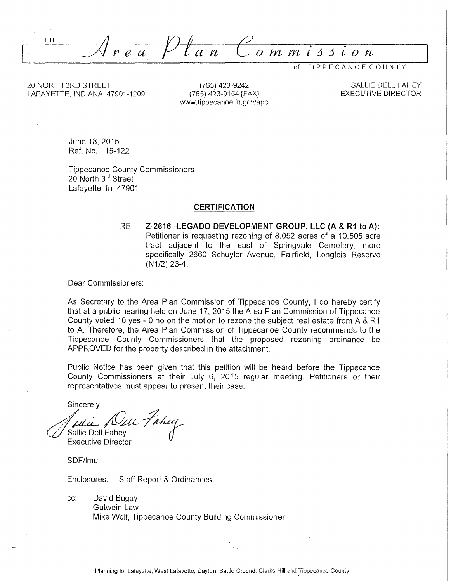THE *ea flan Commi:J:Jion* 

TIPPE CAN OE COUNTY

20 NORTH 3RD STREET LAFAYETTE, INDIANA 47901-1209

(765) 423-9242 (765) 423-9154 [FAX] www.tippecanoe.in.gov/ape

SALLIE DELL FAHEY EXECUTIVE DIRECTOR

June 18, 2015 Ref. No.: 15-122

Tippecanoe County Commissioners 20 North 3<sup>rd</sup> Street Lafayette, In 47901

#### **CERTIFICATION**

RE: **Z-2616--LEGADO DEVELOPMENT GROUP, LLC (A & R1 to A):**  Petitioner is requesting rezoning of 8.052 acres of a 10.505 acre tract adjacent to the east of Springvale Cemetery, more specifically 2660 Schuyler Avenue, Fairfield, Longlois Reserve (N1/2) 23-4.

#### Dear Commissioners:

As Secretary to the Area Plan Commission of Tippecanoe County, I do hereby certify that at a public hearing held on June 17, 2015 the Area Plan Commission of Tippecanoe County voted 10 yes - 0 no on the motion to rezone the subject real estate from A & R 1 to A. Therefore, the Area Plan Commission of Tippecanoe County recommends to the Tippecanoe County Commissioners that the proposed rezoning ordinance be APPROVED for the property described in the attachment.

Public Notice has been given that this petition will be heard before the Tippecanoe County Commissioners at their July 6, 2015 regular meeting. Petitioners or their representatives must appear to present their case.

Sincerely,

*dui Nul Fahuy* 

Executive Director

SDF/lmu

Enclosures: Staff Report & Ordinances

cc: David Bugay Gutwein Law Mike Wolf, Tippecanoe County Building Commissioner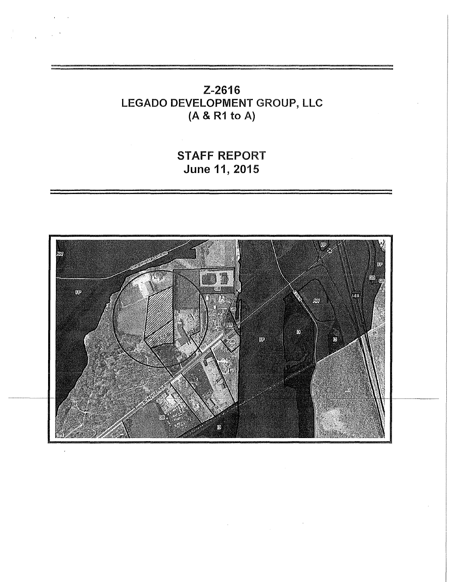# Z-2616 LEGADO DEVELOPMENT GROUP, LLC (A & R1 to A)

# STAFF REPORT **June 11,** 2015

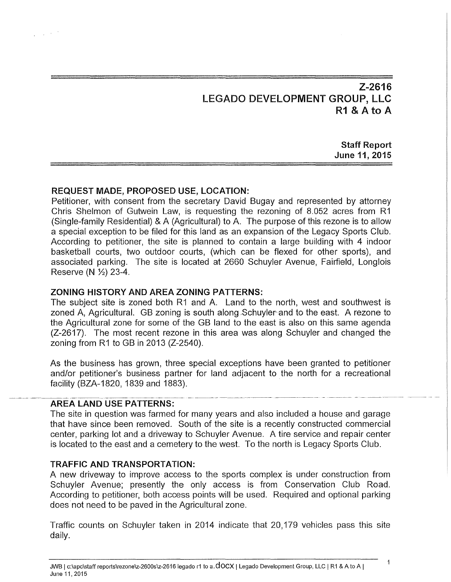# Z-2616 LEGADO DEVELOPMENT GROUP, LLC R1 & A to A

Staff Report June 11, 2015

## REQUEST MADE, PROPOSED USE, LOCATION:

 $\Delta \sim 0.02$ 

Petitioner, with consent from the secretary David Bugay and represented by attorney Chris Shelmon of Gutwein Law, is requesting the rezoning of 8.052 acres from R1 (Single-family Residential) & A (Agricultural) to A. The purpose of this rezone is to allow a special exception to be filed for this land as an expansion of the Legacy Sports Club. According to petitioner, the site is planned to contain a large building with 4 indoor basketball courts, two outdoor courts, (which can be flexed for other sports), and associated parking. The site is located at 2660 Schuyler Avenue, Fairfield, Langlois Reserve (N  $\frac{1}{2}$ ) 23-4.

#### ZONING HISTORY AND AREA ZONING PATTERNS:

The subject site is zoned both R1 and A. Land to the north, west and southwest is zoned A, Agricultural. GB zoning is south along Schuyler and to the east. A rezone to the Agricultural zone for some of the GB land to the east is also on this same agenda (Z-2617). The most recent rezone in this area was along Schuyler and changed the zoning from R1 to GB in 2013 (Z-2540).

As the business has grown, three special exceptions have been granted to petitioner and/or petitioner's business partner for land adjacent to the north for a recreational facility (BZA-1820, 1839 and 1883).

## AREA LAND USE PATTERNS:

The site in question was farmed for many years and also included a house and garage that have since been removed. South of the site is a recently constructed commercial center, parking lot and a driveway to Schuyler Avenue. A tire service and repair center is located to the east and a cemetery to the west. To the north is Legacy Sports Club.

#### TRAFFIC AND TRANSPORTATION:

A new driveway to improve access to the sports complex is under construction from Schuyler Avenue; presently the only access is from Conservation Club Road. According to petitioner, both access points will be used. Required and optional parking does not need to be paved in the Agricultural zone.

Traffic counts on Schuyler taken in 2014 indicate that 20, 179 vehicles pass this site daily.

 $\mathbf{1}$